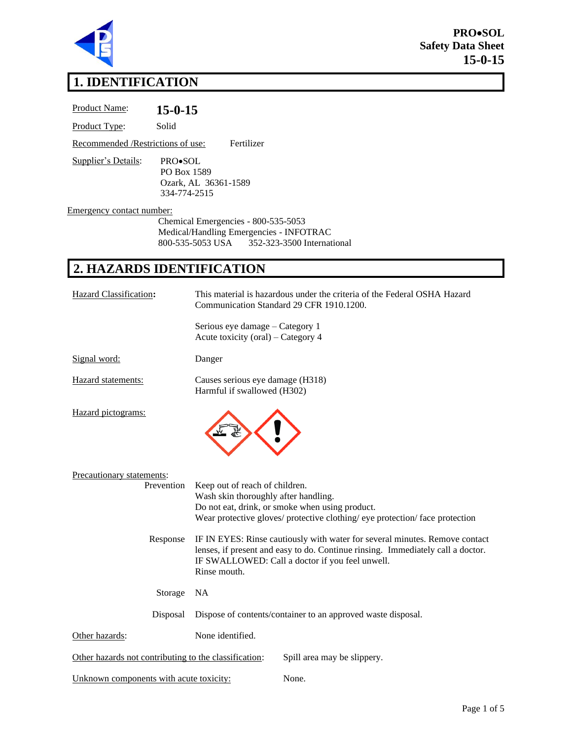

**PRO**•**SOL Safety Data Sheet 15-0-15**

# **1. IDENTIFICATION**

| Product Name:                                   | $15 - 0 - 15$                                                                                                                    |  |
|-------------------------------------------------|----------------------------------------------------------------------------------------------------------------------------------|--|
| Product Type:                                   | Solid                                                                                                                            |  |
| Fertilizer<br>Recommended /Restrictions of use: |                                                                                                                                  |  |
| Supplier's Details:                             | PRO•SOL<br>PO Box 1589<br>Ozark, AL 36361-1589<br>334-774-2515                                                                   |  |
| Emergency contact number:                       | Chemical Emergencies - 800-535-5053<br>Medical/Handling Emergencies - INFOTRAC<br>800-535-5053 USA<br>352-323-3500 International |  |
|                                                 | 2. HAZARDS IDENTIFICATION                                                                                                        |  |
| <b>Hazard Classification:</b>                   | This material is hazardous under the criteria of the Federal OSHA Hazard<br>Communication Standard 29 CFR 1910.1200.             |  |
|                                                 | Serious eye damage - Category 1<br>Acute toxicity (oral) – Category 4                                                            |  |
| Signal word:                                    | Danger                                                                                                                           |  |
| Hazard statements:                              | Causes serious eye damage (H318)<br>Harmful if swallowed (H302)                                                                  |  |
| Hazard pictograms:                              |                                                                                                                                  |  |
| Precautionary statements:                       |                                                                                                                                  |  |

| Precautionary statements:                             |                                                                                                                                                                                                                                   |                             |  |
|-------------------------------------------------------|-----------------------------------------------------------------------------------------------------------------------------------------------------------------------------------------------------------------------------------|-----------------------------|--|
| Prevention                                            | Keep out of reach of children.                                                                                                                                                                                                    |                             |  |
|                                                       | Wash skin thoroughly after handling.                                                                                                                                                                                              |                             |  |
|                                                       | Do not eat, drink, or smoke when using product.                                                                                                                                                                                   |                             |  |
|                                                       | Wear protective gloves/ protective clothing/ eye protection/ face protection                                                                                                                                                      |                             |  |
| Response                                              | IF IN EYES: Rinse cautiously with water for several minutes. Remove contact<br>lenses, if present and easy to do. Continue rinsing. Immediately call a doctor.<br>IF SWALLOWED: Call a doctor if you feel unwell.<br>Rinse mouth. |                             |  |
| Storage                                               | <b>NA</b>                                                                                                                                                                                                                         |                             |  |
| Disposal                                              | Dispose of contents/container to an approved waste disposal.                                                                                                                                                                      |                             |  |
| Other hazards:                                        | None identified.                                                                                                                                                                                                                  |                             |  |
| Other hazards not contributing to the classification: |                                                                                                                                                                                                                                   | Spill area may be slippery. |  |
| Unknown components with acute toxicity:               |                                                                                                                                                                                                                                   | None.                       |  |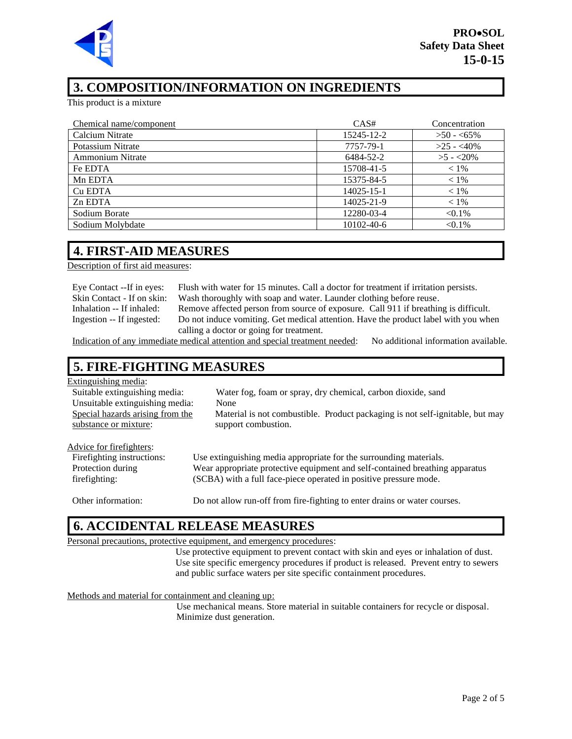

### **3. COMPOSITION/INFORMATION ON INGREDIENTS**

This product is a mixture

| Chemical name/component | CAS#       | Concentration |
|-------------------------|------------|---------------|
| Calcium Nitrate         | 15245-12-2 | $>50 - 55\%$  |
| Potassium Nitrate       | 7757-79-1  | $>25 - 40\%$  |
| <b>Ammonium Nitrate</b> | 6484-52-2  | $>5 - 20\%$   |
| Fe EDTA                 | 15708-41-5 | $< 1\%$       |
| Mn EDTA                 | 15375-84-5 | $< 1\%$       |
| Cu EDTA                 | 14025-15-1 | $< 1\%$       |
| Zn EDTA                 | 14025-21-9 | $< 1\%$       |
| Sodium Borate           | 12280-03-4 | $< 0.1\%$     |
| Sodium Molybdate        | 10102-40-6 | $< 0.1\%$     |

#### **4. FIRST-AID MEASURES**

scription of first aid measures:

| Eye Contact --If in eyes:  |
|----------------------------|
| Skin Contact - If on skin: |
| Inhalation -- If inhaled:  |
| Ingestion -- If ingested:  |

Flush with water for 15 minutes. Call a doctor for treatment if irritation persists. Wash thoroughly with soap and water. Launder clothing before reuse. Remove affected person from source of exposure. Call 911 if breathing is difficult. Do not induce vomiting. Get medical attention. Have the product label with you when calling a doctor or going for treatment.

Indication of any immediate medical attention and special treatment needed: No additional information available.

### **5. FIRE-FIGHTING MEASURES**

#### Extinguishing media:

| Suitable extinguishing media:    | Water fog, foam or spray, dry chemical, carbon dioxide, sand                  |
|----------------------------------|-------------------------------------------------------------------------------|
| Unsuitable extinguishing media:  | None                                                                          |
| Special hazards arising from the | Material is not combustible. Product packaging is not self-ignitable, but may |
| substance or mixture:            | support combustion.                                                           |
|                                  |                                                                               |
| Advice for firefighters:         |                                                                               |
| Firefighting instructions:       | Use extinguishing media appropriate for the surrounding materials.            |
| Protection during                | Wear appropriate protective equipment and self-contained breathing apparatus  |
| firefighting:                    | (SCBA) with a full face-piece operated in positive pressure mode.             |

Other information: Do not allow run-off from fire-fighting to enter drains or water courses.

#### **6. ACCIDENTAL RELEASE MEASURES**

Personal precautions, protective equipment, and emergency procedures:

Use protective equipment to prevent contact with skin and eyes or inhalation of dust. Use site specific emergency procedures if product is released. Prevent entry to sewers and public surface waters per site specific containment procedures.

Methods and material for containment and cleaning up:

Use mechanical means. Store material in suitable containers for recycle or disposal. Minimize dust generation.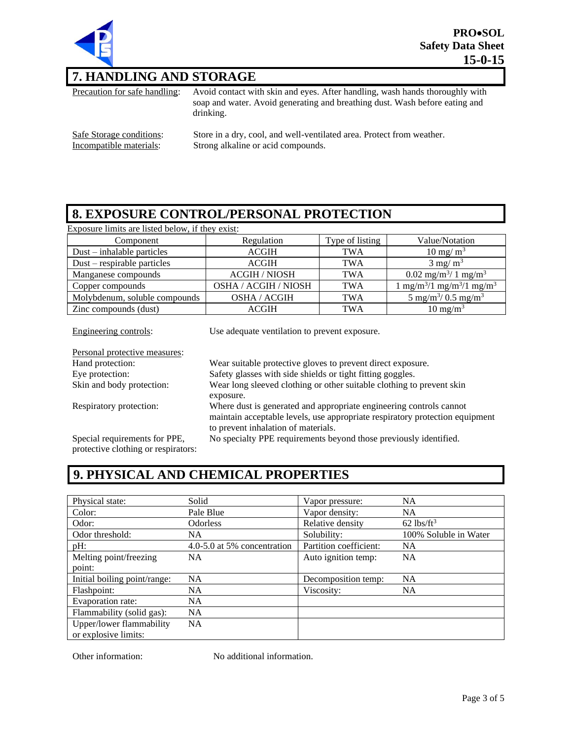

## **7. HANDLING AND STORAGE**

Precaution for safe handling: Avoid contact with skin and eyes. After handling, wash hands thoroughly with soap and water. Avoid generating and breathing dust. Wash before eating and drinking. Safe Storage conditions: Store in a dry, cool, and well-ventilated area. Protect from weather.<br>Incompatible materials: Strong alkaline or acid compounds. Strong alkaline or acid compounds.

## **8. EXPOSURE CONTROL/PERSONAL PROTECTION**

Exposure limits are listed below, if they exist:

| Component                     | Regulation                  | Type of listing | Value/Notation                                       |
|-------------------------------|-----------------------------|-----------------|------------------------------------------------------|
| $Dust - inhalable particles$  | <b>ACGIH</b>                | <b>TWA</b>      | $10 \text{ mg/m}^3$                                  |
| $Dust$ – respirable particles | <b>ACGIH</b>                | <b>TWA</b>      | $3 \text{ mg/m}^3$                                   |
| Manganese compounds           | <b>ACGIH / NIOSH</b>        | <b>TWA</b>      | $0.02 \text{ mg/m}^3/1 \text{ mg/m}^3$               |
| Copper compounds              | <b>OSHA / ACGIH / NIOSH</b> | <b>TWA</b>      | $1 \text{ mg/m}^3/1 \text{ mg/m}^3/1 \text{ mg/m}^3$ |
| Molybdenum, soluble compounds | OSHA / ACGIH                | <b>TWA</b>      | 5 mg/m <sup>3</sup> / 0.5 mg/m <sup>3</sup>          |
| Zinc compounds (dust)         | ACGIH                       | TWA             | $10 \text{ mg/m}^3$                                  |

| Engineering controls:                                                | Use adequate ventilation to prevent exposure.                                                                                                                                              |
|----------------------------------------------------------------------|--------------------------------------------------------------------------------------------------------------------------------------------------------------------------------------------|
| Personal protective measures:                                        |                                                                                                                                                                                            |
| Hand protection:                                                     | Wear suitable protective gloves to prevent direct exposure.                                                                                                                                |
| Eye protection:                                                      | Safety glasses with side shields or tight fitting goggles.                                                                                                                                 |
| Skin and body protection:                                            | Wear long sleeved clothing or other suitable clothing to prevent skin<br>exposure.                                                                                                         |
| Respiratory protection:                                              | Where dust is generated and appropriate engineering controls cannot<br>maintain acceptable levels, use appropriate respiratory protection equipment<br>to prevent inhalation of materials. |
| Special requirements for PPE,<br>protective clothing or respirators: | No specialty PPE requirements beyond those previously identified.                                                                                                                          |

## **9. PHYSICAL AND CHEMICAL PROPERTIES**

| Physical state:              | Solid                       | Vapor pressure:        | <b>NA</b>                |
|------------------------------|-----------------------------|------------------------|--------------------------|
| Color:                       | Pale Blue                   | Vapor density:         | <b>NA</b>                |
| Odor:                        | <b>Odorless</b>             | Relative density       | $62$ lbs/ft <sup>3</sup> |
| Odor threshold:              | NA.                         | Solubility:            | 100% Soluble in Water    |
| $pH$ :                       | 4.0-5.0 at 5% concentration | Partition coefficient: | <b>NA</b>                |
| Melting point/freezing       | <b>NA</b>                   | Auto ignition temp:    | <b>NA</b>                |
| point:                       |                             |                        |                          |
| Initial boiling point/range: | NA                          | Decomposition temp:    | <b>NA</b>                |
| Flashpoint:                  | NA.                         | Viscosity:             | NA.                      |
| Evaporation rate:            | NA.                         |                        |                          |
| Flammability (solid gas):    | <b>NA</b>                   |                        |                          |
| Upper/lower flammability     | NA.                         |                        |                          |
| or explosive limits:         |                             |                        |                          |

Other information: No additional information.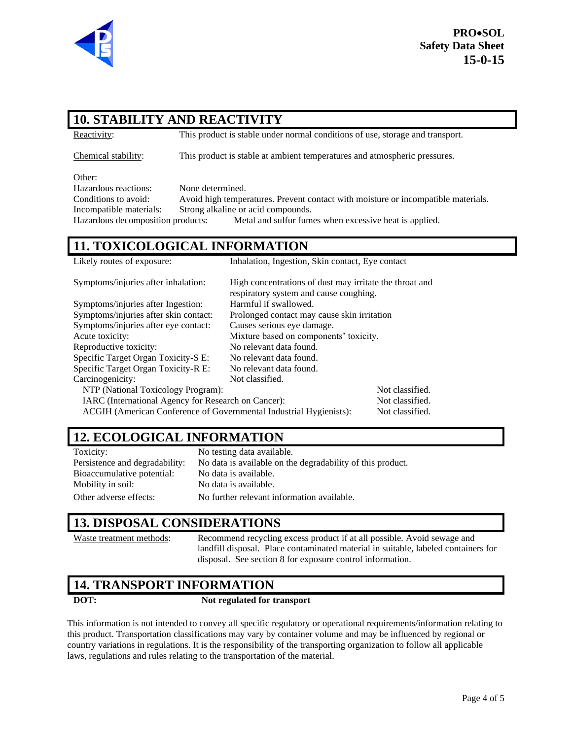

## **10. STABILITY AND REACTIVITY**

Reactivity: This product is stable under normal conditions of use, storage and transport.

Chemical stability: This product is stable at ambient temperatures and atmospheric pressures.

Other:

Hazardous reactions: None determined. Conditions to avoid: Avoid high temperatures. Prevent contact with moisture or incompatible materials. Incompatible materials: Strong alkaline or acid compounds. Hazardous decomposition products: Metal and sulfur fumes when excessive heat is applied.

## **11. TOXICOLOGICAL INFORMATION**

| Likely routes of exposure:<br>Inhalation, Ingestion, Skin contact, Eye contact |                                                         |                 |  |
|--------------------------------------------------------------------------------|---------------------------------------------------------|-----------------|--|
| Symptoms/injuries after inhalation:                                            | High concentrations of dust may irritate the throat and |                 |  |
|                                                                                | respiratory system and cause coughing.                  |                 |  |
| Harmful if swallowed.<br>Symptoms/injuries after Ingestion:                    |                                                         |                 |  |
| Symptoms/injuries after skin contact:                                          | Prolonged contact may cause skin irritation             |                 |  |
| Symptoms/injuries after eye contact:                                           | Causes serious eye damage.                              |                 |  |
| Acute toxicity:                                                                | Mixture based on components' toxicity.                  |                 |  |
| Reproductive toxicity:                                                         | No relevant data found.                                 |                 |  |
| Specific Target Organ Toxicity-S E:                                            | No relevant data found.                                 |                 |  |
| Specific Target Organ Toxicity-R E:                                            | No relevant data found.                                 |                 |  |
| Carcinogenicity:                                                               | Not classified.                                         |                 |  |
| NTP (National Toxicology Program):                                             |                                                         | Not classified. |  |
| IARC (International Agency for Research on Cancer):                            |                                                         | Not classified. |  |
| ACGIH (American Conference of Governmental Industrial Hygienists):             |                                                         | Not classified. |  |

## **12. ECOLOGICAL INFORMATION**

Toxicity: No testing data available. Bioaccumulative potential: No data is available. Mobility in soil: No data is available. Other adverse effects: No further relevant information available.

Persistence and degradability: No data is available on the degradability of this product.

### **13. DISPOSAL CONSIDERATIONS**

Waste treatment methods: Recommend recycling excess product if at all possible. Avoid sewage and landfill disposal. Place contaminated material in suitable, labeled containers for disposal. See section 8 for exposure control information.

### **14. TRANSPORT INFORMATION**

#### **DOT: Not regulated for transport**

This information is not intended to convey all specific regulatory or operational requirements/information relating to this product. Transportation classifications may vary by container volume and may be influenced by regional or country variations in regulations. It is the responsibility of the transporting organization to follow all applicable laws, regulations and rules relating to the transportation of the material.